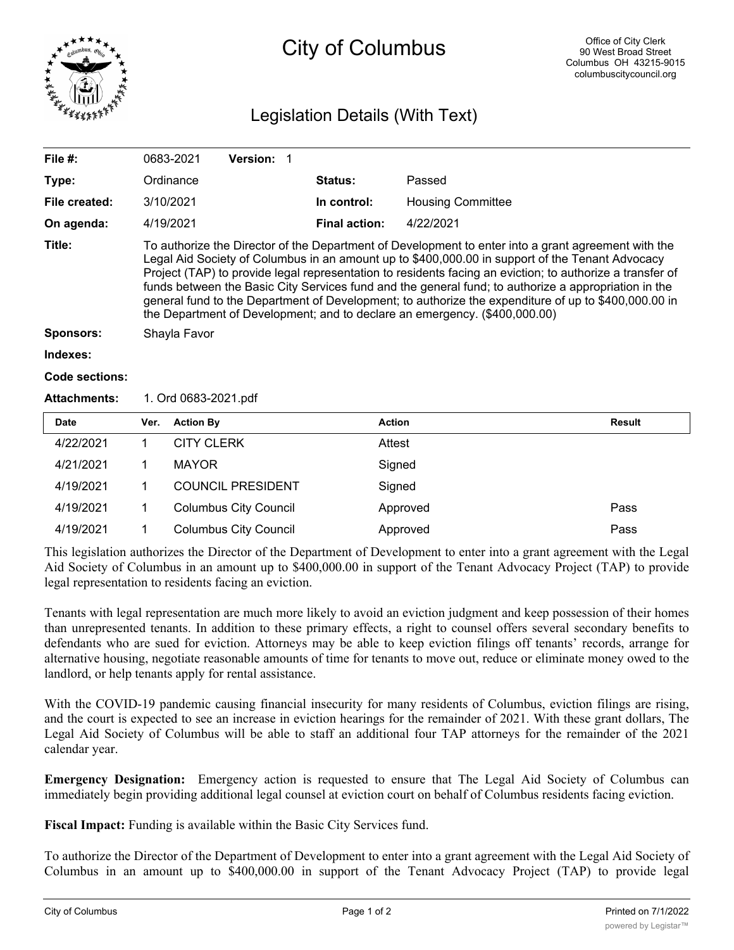

## City of Columbus

## Legislation Details (With Text)

| File $#$ :          | 0683-2021                                                                                                                                                                                                                                                                                                                                                                                                                                                                                                                                                                                                         | <b>Version:</b> |                |                          |  |  |
|---------------------|-------------------------------------------------------------------------------------------------------------------------------------------------------------------------------------------------------------------------------------------------------------------------------------------------------------------------------------------------------------------------------------------------------------------------------------------------------------------------------------------------------------------------------------------------------------------------------------------------------------------|-----------------|----------------|--------------------------|--|--|
| Type:               | Ordinance                                                                                                                                                                                                                                                                                                                                                                                                                                                                                                                                                                                                         |                 | <b>Status:</b> | Passed                   |  |  |
| File created:       | 3/10/2021                                                                                                                                                                                                                                                                                                                                                                                                                                                                                                                                                                                                         |                 | In control:    | <b>Housing Committee</b> |  |  |
| On agenda:          | 4/19/2021                                                                                                                                                                                                                                                                                                                                                                                                                                                                                                                                                                                                         |                 | Final action:  | 4/22/2021                |  |  |
| Title:              | To authorize the Director of the Department of Development to enter into a grant agreement with the<br>Legal Aid Society of Columbus in an amount up to \$400,000.00 in support of the Tenant Advocacy<br>Project (TAP) to provide legal representation to residents facing an eviction; to authorize a transfer of<br>funds between the Basic City Services fund and the general fund; to authorize a appropriation in the<br>general fund to the Department of Development; to authorize the expenditure of up to \$400,000.00 in<br>the Department of Development; and to declare an emergency. (\$400,000.00) |                 |                |                          |  |  |
| <b>Sponsors:</b>    | Shayla Favor                                                                                                                                                                                                                                                                                                                                                                                                                                                                                                                                                                                                      |                 |                |                          |  |  |
| Indexes:            |                                                                                                                                                                                                                                                                                                                                                                                                                                                                                                                                                                                                                   |                 |                |                          |  |  |
| Code sections:      |                                                                                                                                                                                                                                                                                                                                                                                                                                                                                                                                                                                                                   |                 |                |                          |  |  |
| <b>Attachments:</b> | 1. Ord 0683-2021.pdf                                                                                                                                                                                                                                                                                                                                                                                                                                                                                                                                                                                              |                 |                |                          |  |  |
|                     |                                                                                                                                                                                                                                                                                                                                                                                                                                                                                                                                                                                                                   |                 |                |                          |  |  |

| <b>Date</b> | Ver. | <b>Action By</b>             | <b>Action</b> | Result |
|-------------|------|------------------------------|---------------|--------|
| 4/22/2021   |      | <b>CITY CLERK</b>            | Attest        |        |
| 4/21/2021   |      | MAYOR                        | Signed        |        |
| 4/19/2021   |      | <b>COUNCIL PRESIDENT</b>     | Signed        |        |
| 4/19/2021   |      | <b>Columbus City Council</b> | Approved      | Pass   |
| 4/19/2021   |      | <b>Columbus City Council</b> | Approved      | Pass   |

This legislation authorizes the Director of the Department of Development to enter into a grant agreement with the Legal Aid Society of Columbus in an amount up to \$400,000.00 in support of the Tenant Advocacy Project (TAP) to provide legal representation to residents facing an eviction.

Tenants with legal representation are much more likely to avoid an eviction judgment and keep possession of their homes than unrepresented tenants. In addition to these primary effects, a right to counsel offers several secondary benefits to defendants who are sued for eviction. Attorneys may be able to keep eviction filings off tenants' records, arrange for alternative housing, negotiate reasonable amounts of time for tenants to move out, reduce or eliminate money owed to the landlord, or help tenants apply for rental assistance.

With the COVID-19 pandemic causing financial insecurity for many residents of Columbus, eviction filings are rising, and the court is expected to see an increase in eviction hearings for the remainder of 2021. With these grant dollars, The Legal Aid Society of Columbus will be able to staff an additional four TAP attorneys for the remainder of the 2021 calendar year.

**Emergency Designation:** Emergency action is requested to ensure that The Legal Aid Society of Columbus can immediately begin providing additional legal counsel at eviction court on behalf of Columbus residents facing eviction.

**Fiscal Impact:** Funding is available within the Basic City Services fund.

To authorize the Director of the Department of Development to enter into a grant agreement with the Legal Aid Society of Columbus in an amount up to \$400,000.00 in support of the Tenant Advocacy Project (TAP) to provide legal